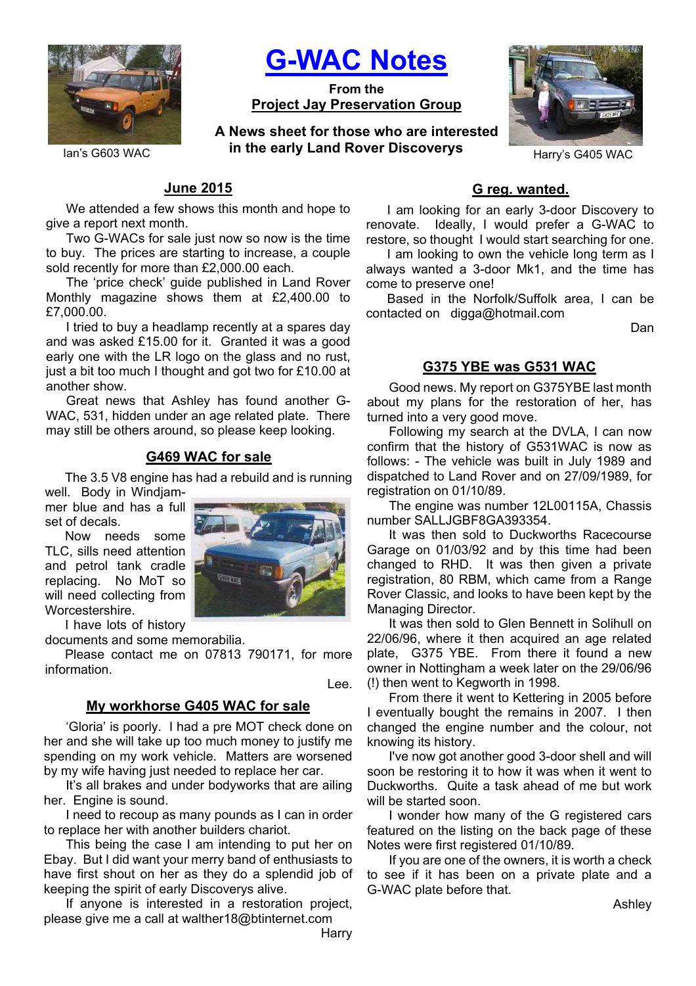

**G-WAC Notes**

**From the Project Jay Preservation Group**

Ian's G603 WAC **in the early Land Rover Discoverys** Harry's G405 WAC **A News sheet for those who are interested** 



# **June 2015**

We attended a few shows this month and hope to give a report next month.

Two G-WACs for sale just now so now is the time to buy. The prices are starting to increase, a couple sold recently for more than £2,000.00 each.

The 'price check' guide published in Land Rover Monthly magazine shows them at £2,400.00 to £7,000.00.

I tried to buy a headlamp recently at a spares day and was asked £15.00 for it. Granted it was a good early one with the LR logo on the glass and no rust, just a bit too much I thought and got two for £10.00 at another show.

Great news that Ashley has found another G-WAC, 531, hidden under an age related plate. There may still be others around, so please keep looking.

## **G469 WAC for sale**

The 3.5 V8 engine has had a rebuild and is running

well. Body in Windjammer blue and has a full set of decals.

Now needs some TLC, sills need attention and petrol tank cradle replacing. No MoT so will need collecting from Worcestershire.

I have lots of history

documents and some memorabilia.

Please contact me on 07813 790171, for more information.

Lee.

#### **My workhorse G405 WAC for sale**

'Gloria' is poorly. I had a pre MOT check done on her and she will take up too much money to justify me spending on my work vehicle. Matters are worsened by my wife having just needed to replace her car.

It's all brakes and under bodyworks that are ailing her. Engine is sound.

I need to recoup as many pounds as I can in order to replace her with another builders chariot.

This being the case I am intending to put her on Ebay. But I did want your merry band of enthusiasts to have first shout on her as they do a splendid job of keeping the spirit of early Discoverys alive.

If anyone is interested in a restoration project, please give me a call at walther18@btinternet.com

#### **G reg. wanted.**

I am looking for an early 3-door Discovery to renovate. Ideally, I would prefer a G-WAC to restore, so thought I would start searching for one.

I am looking to own the vehicle long term as I always wanted a 3-door Mk1, and the time has come to preserve one!

Based in the Norfolk/Suffolk area, I can be contacted on digga@hotmail.com

Dan

#### **G375 YBE was G531 WAC**

Good news. My report on G375YBE last month about my plans for the restoration of her, has turned into a very good move.

Following my search at the DVLA, I can now confirm that the history of G531WAC is now as follows: - The vehicle was built in July 1989 and dispatched to Land Rover and on 27/09/1989, for registration on 01/10/89.

The engine was number 12L00115A, Chassis number SALLJGBF8GA393354.

It was then sold to Duckworths Racecourse Garage on 01/03/92 and by this time had been changed to RHD. It was then given a private registration, 80 RBM, which came from a Range Rover Classic, and looks to have been kept by the Managing Director.

It was then sold to Glen Bennett in Solihull on 22/06/96, where it then acquired an age related plate, G375 YBE. From there it found a new owner in Nottingham a week later on the 29/06/96 (!) then went to Kegworth in 1998.

From there it went to Kettering in 2005 before I eventually bought the remains in 2007. I then changed the engine number and the colour, not knowing its history.

I've now got another good 3-door shell and will soon be restoring it to how it was when it went to Duckworths. Quite a task ahead of me but work will be started soon

I wonder how many of the G registered cars featured on the listing on the back page of these Notes were first registered 01/10/89.

If you are one of the owners, it is worth a check to see if it has been on a private plate and a G-WAC plate before that.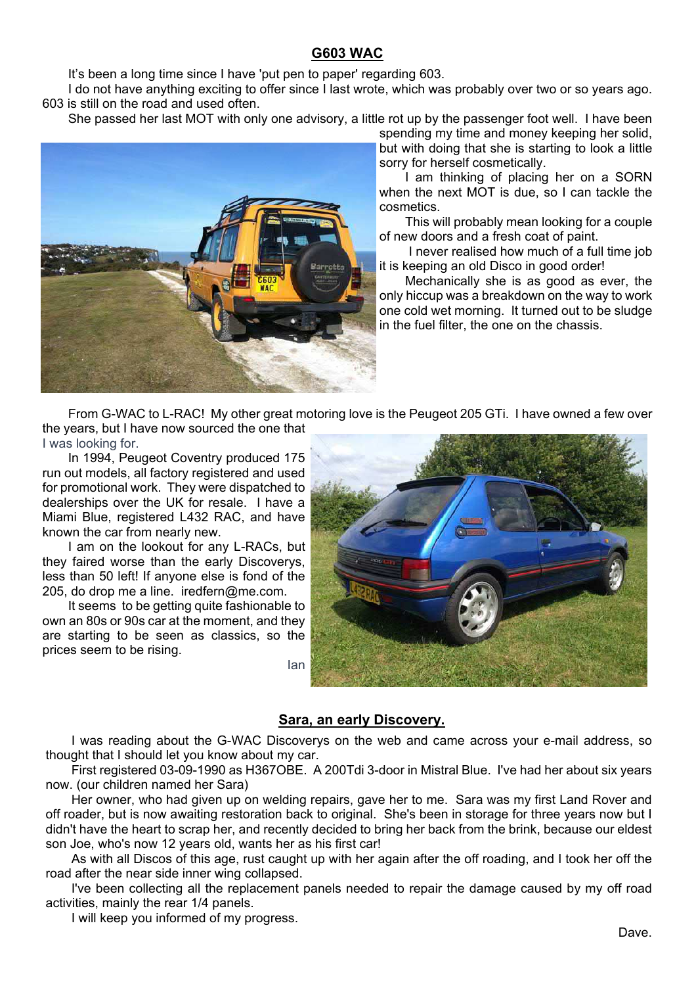# **G603 WAC**

It's been a long time since I have 'put pen to paper' regarding 603.

I do not have anything exciting to offer since I last wrote, which was probably over two or so years ago. 603 is still on the road and used often.

She passed her last MOT with only one advisory, a little rot up by the passenger foot well. I have been



spending my time and money keeping her solid, but with doing that she is starting to look a little sorry for herself cosmetically.

I am thinking of placing her on a SORN when the next MOT is due, so I can tackle the cosmetics.

This will probably mean looking for a couple of new doors and a fresh coat of paint.

I never realised how much of a full time job it is keeping an old Disco in good order!

Mechanically she is as good as ever, the only hiccup was a breakdown on the way to work one cold wet morning. It turned out to be sludge in the fuel filter, the one on the chassis.

From G-WAC to L-RAC! My other great motoring love is the Peugeot 205 GTi. I have owned a few over the years, but I have now sourced the one that I was looking for.

In 1994, Peugeot Coventry produced 175 run out models, all factory registered and used for promotional work. They were dispatched to dealerships over the UK for resale. I have a Miami Blue, registered L432 RAC, and have known the car from nearly new.

I am on the lookout for any L-RACs, but they faired worse than the early Discoverys, less than 50 left! If anyone else is fond of the 205, do drop me a line. iredfern@me.com.

It seems to be getting quite fashionable to own an 80s or 90s car at the moment, and they are starting to be seen as classics, so the prices seem to be rising. Ian



## **Sara, an early Discovery.**

I was reading about the G-WAC Discoverys on the web and came across your e-mail address, so thought that I should let you know about my car.

First registered 03-09-1990 as H367OBE. A 200Tdi 3-door in Mistral Blue. I've had her about six years now. (our children named her Sara)

Her owner, who had given up on welding repairs, gave her to me. Sara was my first Land Rover and off roader, but is now awaiting restoration back to original. She's been in storage for three years now but I didn't have the heart to scrap her, and recently decided to bring her back from the brink, because our eldest son Joe, who's now 12 years old, wants her as his first car!

As with all Discos of this age, rust caught up with her again after the off roading, and I took her off the road after the near side inner wing collapsed.

I've been collecting all the replacement panels needed to repair the damage caused by my off road activities, mainly the rear 1/4 panels.

I will keep you informed of my progress.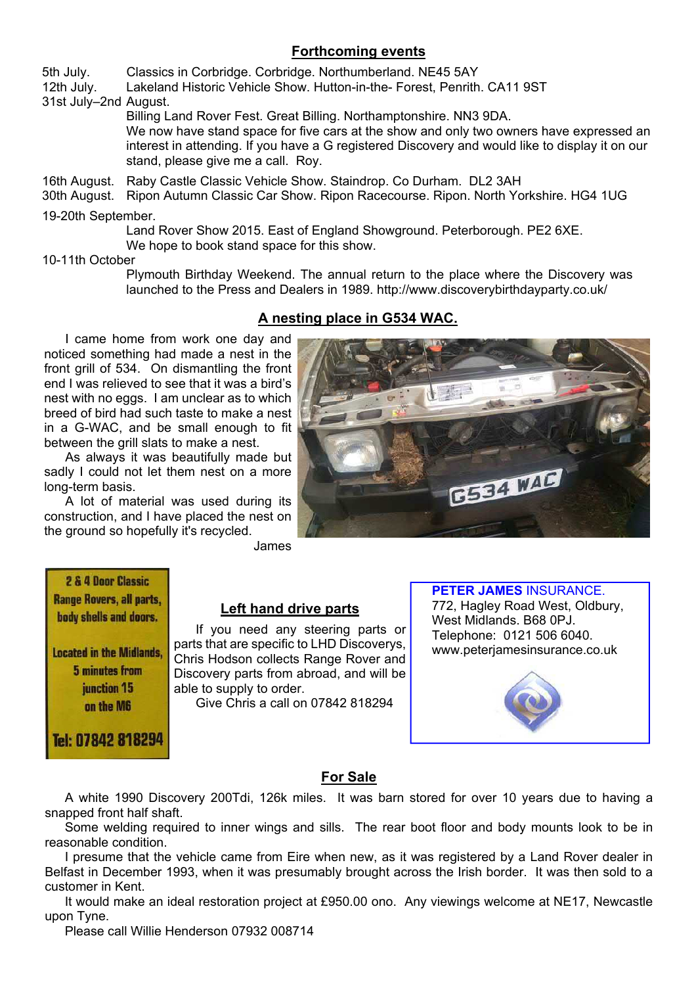# **Forthcoming events**

5th July. Classics in Corbridge. Corbridge. Northumberland. NE45 5AY

12th July. Lakeland Historic Vehicle Show. Hutton-in-the- Forest, Penrith. CA11 9ST

31st July–2nd August.

 Billing Land Rover Fest. Great Billing. Northamptonshire. NN3 9DA. We now have stand space for five cars at the show and only two owners have expressed an interest in attending. If you have a G registered Discovery and would like to display it on our stand, please give me a call. Roy.

16th August. Raby Castle Classic Vehicle Show. Staindrop. Co Durham. DL2 3AH

30th August. Ripon Autumn Classic Car Show. Ripon Racecourse. Ripon. North Yorkshire. HG4 1UG 19-20th September.

> Land Rover Show 2015. East of England Showground. Peterborough. PE2 6XE. We hope to book stand space for this show.

10-11th October

 Plymouth Birthday Weekend. The annual return to the place where the Discovery was launched to the Press and Dealers in 1989. http://www.discoverybirthdayparty.co.uk/

# **A nesting place in G534 WAC.**

I came home from work one day and noticed something had made a nest in the front grill of 534. On dismantling the front end I was relieved to see that it was a bird's nest with no eggs. I am unclear as to which breed of bird had such taste to make a nest in a G-WAC, and be small enough to fit between the grill slats to make a nest.

As always it was beautifully made but sadly I could not let them nest on a more long-term basis.

A lot of material was used during its construction, and I have placed the nest on the ground so hopefully it's recycled.



James

2 & 4 Door Classic **Range Rovers, all parts,** body shells and doors.

**Located in the Midlands.** 5 minutes from junction 15 on the M6

Tel: 07842 818294

## **Left hand drive parts**

If you need any steering parts or parts that are specific to LHD Discoverys, Chris Hodson collects Range Rover and Discovery parts from abroad, and will be able to supply to order. Give Chris a call on 07842 818294

**PETER JAMES** INSURANCE. 772, Hagley Road West, Oldbury, West Midlands. B68 0PJ. Telephone: 0121 506 6040. www.peterjamesinsurance.co.uk



## **For Sale**

A white 1990 Discovery 200Tdi, 126k miles. It was barn stored for over 10 years due to having a snapped front half shaft.

Some welding required to inner wings and sills. The rear boot floor and body mounts look to be in reasonable condition.

I presume that the vehicle came from Eire when new, as it was registered by a Land Rover dealer in Belfast in December 1993, when it was presumably brought across the Irish border. It was then sold to a customer in Kent.

It would make an ideal restoration project at £950.00 ono. Any viewings welcome at NE17, Newcastle upon Tyne.

Please call Willie Henderson 07932 008714